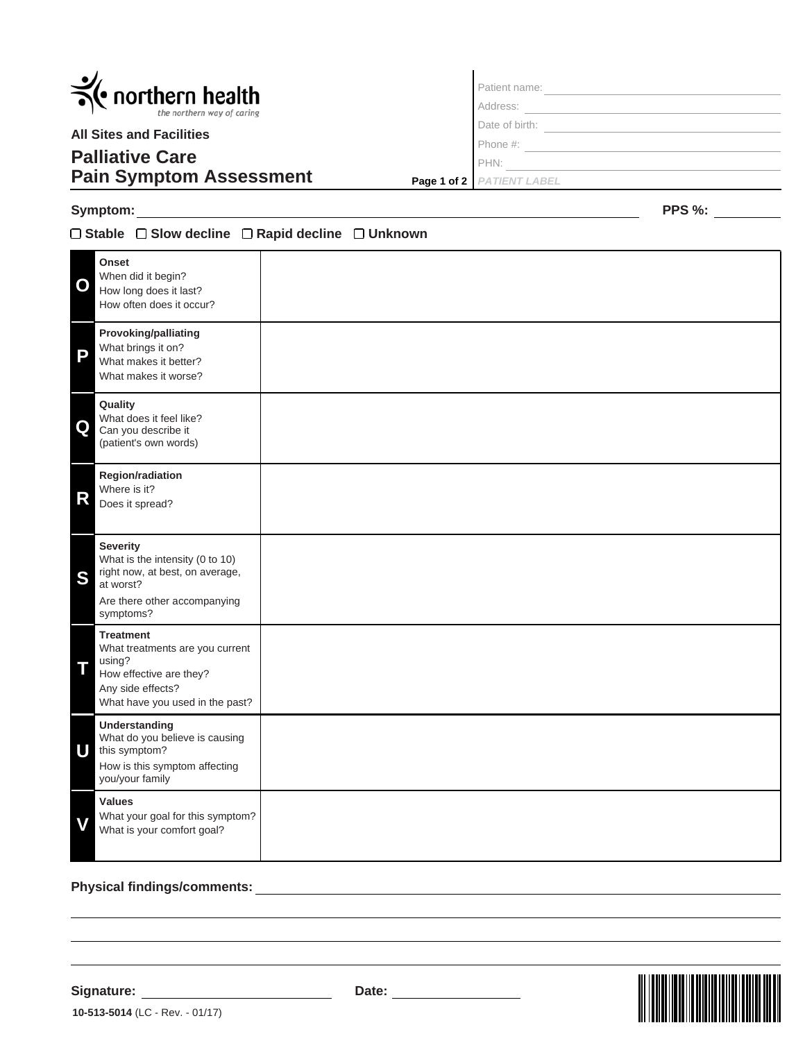| $\leq$ northern health<br>the northern way of caring<br><b>All Sites and Facilities</b> | Patient name:               |
|-----------------------------------------------------------------------------------------|-----------------------------|
|                                                                                         | Address:                    |
|                                                                                         | Date of birth:              |
|                                                                                         | Phone #:                    |
| <b>Palliative Care</b>                                                                  | PHN:                        |
| <b>Pain Symptom Assessment</b>                                                          | Page 1 of 2   PATIENT LABEL |

 $\blacksquare$ 

## **Symptom:**

## **Stable Slow decline Rapid decline Unknown**

**Onset** When did it begin? How long does it last? How often does it occur? **O Provoking/palliating** What brings it on? What makes it better? What makes it worse? **P Quality** What does it feel like? **Q** Can you describe it (patient's own words) **Region/radiation** Where is it?<br>Does it spread? **Values** What your goal for this symptom?<br>What is your comfort goal? **Understanding** What do you believe is causing this symptom? **U** How is this symptom affecting you/your family **Treatment** What treatments are you current using? **T** using?<br>**T** How effective are they? Any side effects? What have you used in the past? **Severity** What is the intensity (0 to 10) right now, at best, on average, S right now<br>at worst? Are there other accompanying symptoms?

## **Physical findings/comments:**

**10-513-5014** (LC - Rev. - 01/17)



**PPS %:**